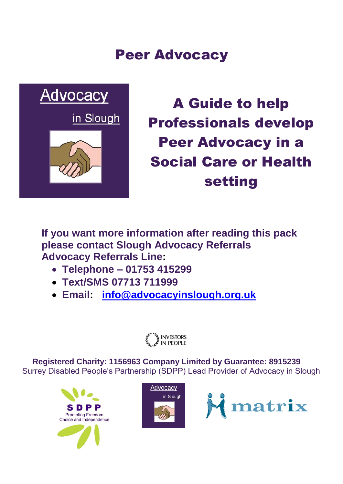# Peer Advocacy



A Guide to help Professionals develop Peer Advocacy in a Social Care or Health setting

**If you want more information after reading this pack please contact Slough Advocacy Referrals Advocacy Referrals Line:**

- **Telephone – 01753 415299**
- **Text/SMS 07713 711999**
- **Email: [info@advocacyinslough.org.uk](mailto:info@advocacyinslough.org.uk)**



**Re Registered Charity: 1156963 Company Limited by Guarantee: 8915239** Surrey Disabled People's Partnership (SDPP) Lead Provider of Advocacy in Slough





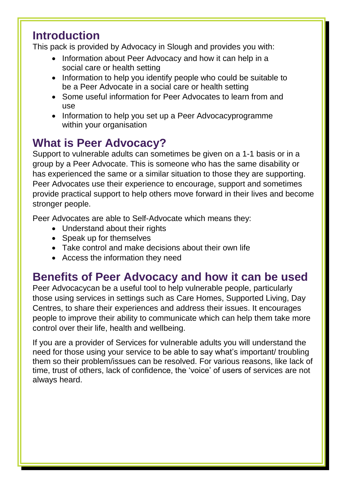## **Introduction**

This pack is provided by Advocacy in Slough and provides you with:

- Information about Peer Advocacy and how it can help in a social care or health setting
- Information to help you identify people who could be suitable to be a Peer Advocate in a social care or health setting
- Some useful information for Peer Advocates to learn from and use
- Information to help you set up a Peer Advocacyprogramme within your organisation

# **What is Peer Advocacy?**

Support to vulnerable adults can sometimes be given on a 1-1 basis or in a group by a Peer Advocate. This is someone who has the same disability or has experienced the same or a similar situation to those they are supporting. Peer Advocates use their experience to encourage, support and sometimes provide practical support to help others move forward in their lives and become stronger people.

Peer Advocates are able to Self-Advocate which means they:

- Understand about their rights
- Speak up for themselves
- Take control and make decisions about their own life
- Access the information they need

# **Benefits of Peer Advocacy and how it can be used**

Peer Advocacycan be a useful tool to help vulnerable people, particularly those using services in settings such as Care Homes, Supported Living, Day Centres, to share their experiences and address their issues. It encourages people to improve their ability to communicate which can help them take more control over their life, health and wellbeing.

If you are a provider of Services for vulnerable adults you will understand the need for those using your service to be able to say what's important/ troubling them so their problem/issues can be resolved. For various reasons, like lack of time, trust of others, lack of confidence, the 'voice' of users of services are not always heard.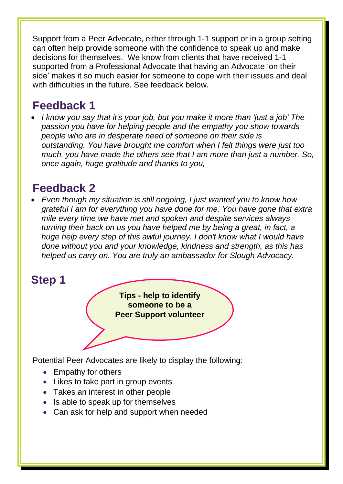Support from a Peer Advocate, either through 1-1 support or in a group setting can often help provide someone with the confidence to speak up and make decisions for themselves. We know from clients that have received 1-1 supported from a Professional Advocate that having an Advocate 'on their side' makes it so much easier for someone to cope with their issues and deal with difficulties in the future. See feedback below.

## **Feedback 1**

 *I know you say that it's your job, but you make it more than 'just a job' The passion you have for helping people and the empathy you show towards people who are in desperate need of someone on their side is outstanding. You have brought me comfort when I felt things were just too much, you have made the others see that I am more than just a number. So, once again, huge gratitude and thanks to you,*

## **Feedback 2**

 *Even though my situation is still ongoing, I just wanted you to know how grateful I am for everything you have done for me. You have gone that extra mile every time we have met and spoken and despite services always turning their back on us you have helped me by being a great, in fact, a huge help every step of this awful journey. I don't know what I would have done without you and your knowledge, kindness and strength, as this has helped us carry on. You are truly an ambassador for Slough Advocacy.*

## **Step 1**

**Tips - help to identify someone to be a Peer Support volunteer**

Potential Peer Advocates are likely to display the following:

- Empathy for others
- Likes to take part in group events
- Takes an interest in other people
- $\bullet$  Is able to speak up for themselves
- Can ask for help and support when needed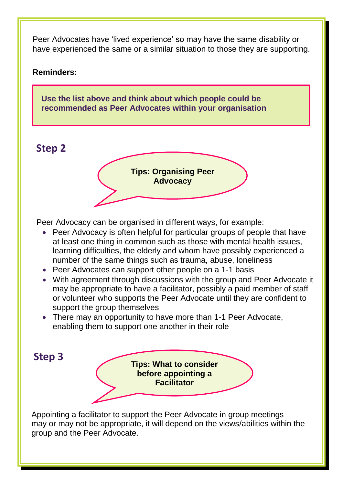Peer Advocates have 'lived experience' so may have the same disability or have experienced the same or a similar situation to those they are supporting.

#### **Reminders:**

**Use the list above and think about which people could be recommended as Peer Advocates within your organisation**

### **Step 2**



Peer Advocacy can be organised in different ways, for example:

- Peer Advocacy is often helpful for particular groups of people that have at least one thing in common such as those with mental health issues, learning difficulties, the elderly and whom have possibly experienced a number of the same things such as trauma, abuse, loneliness
- Peer Advocates can support other people on a 1-1 basis
- With agreement through discussions with the group and Peer Advocate it may be appropriate to have a facilitator, possibly a paid member of staff or volunteer who supports the Peer Advocate until they are confident to support the group themselves
- There may an opportunity to have more than 1-1 Peer Advocate, enabling them to support one another in their role

 **Step 3**

**Tips: What to consider before appointing a Facilitator**

 Appointing a facilitator to support the Peer Advocate in group meetings may or may not be appropriate, it will depend on the views/abilities within the group and the Peer Advocate.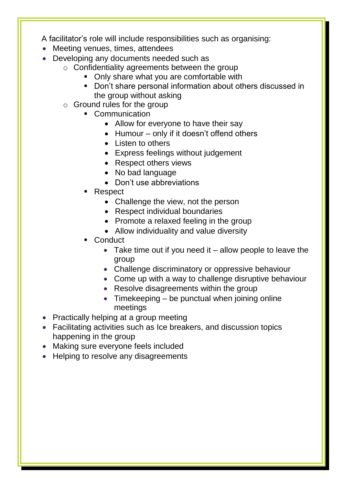A facilitator's role will include responsibilities such as organising:

- Meeting venues, times, attendees
- Developing any documents needed such as
	- o Confidentiality agreements between the group
		- Only share what you are comfortable with
		- Don't share personal information about others discussed in the group without asking
	- o Ground rules for the group
		- Communication
			- Allow for everyone to have their say
			- $\bullet$  Humour only if it doesn't offend others
			- Listen to others
			- Express feelings without judgement
			- Respect others views
			- No bad language
			- Don't use abbreviations
		- Respect
			- Challenge the view, not the person
			- Respect individual boundaries
			- Promote a relaxed feeling in the group
			- Allow individuality and value diversity
		- **Conduct** 
			- $\bullet$  Take time out if you need it allow people to leave the group
			- Challenge discriminatory or oppressive behaviour
			- Come up with a way to challenge disruptive behaviour
			- Resolve disagreements within the group
			- $\bullet$  Timekeeping be punctual when joining online meetings
- Practically helping at a group meeting
- Facilitating activities such as Ice breakers, and discussion topics happening in the group
- Making sure everyone feels included
- Helping to resolve any disagreements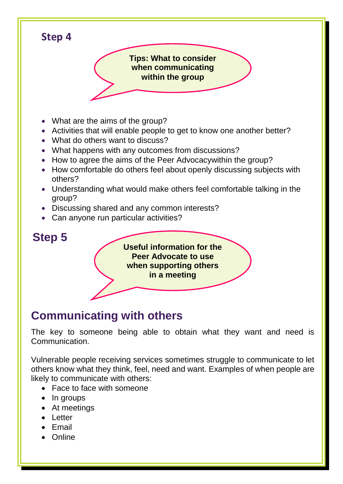**Step 4 Tips: What to consider when communicating within the group**

- What are the aims of the group?
- Activities that will enable people to get to know one another better?
- What do others want to discuss?
- What happens with any outcomes from discussions?
- How to agree the aims of the Peer Advocacy within the group?
- How comfortable do others feel about openly discussing subjects with others?
- Understanding what would make others feel comfortable talking in the group?
- Discussing shared and any common interests?
- Can anyone run particular activities?

## **Step 5**

**Useful information for the Peer Advocate to use when supporting others in a meeting**

# **Communicating with others**

The key to someone being able to obtain what they want and need is Communication.

Vulnerable people receiving services sometimes struggle to communicate to let others know what they think, feel, need and want. Examples of when people are likely to communicate with others:

- Face to face with someone
- $\bullet$  In groups
- At meetings
- Letter
- Email
- Online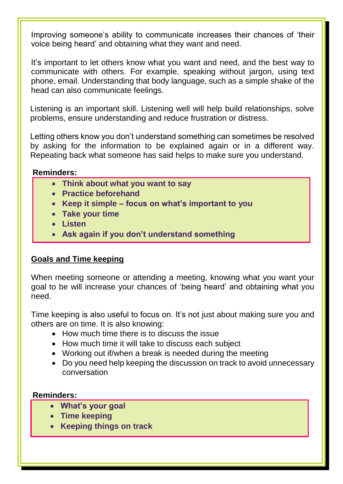Improving someone's ability to communicate increases their chances of 'their voice being heard' and obtaining what they want and need.

It's important to let others know what you want and need, and the best way to communicate with others. For example, speaking without jargon, using text phone, email. Understanding that body language, such as a simple shake of the head can also communicate feelings.

Listening is an important skill. Listening well will help build relationships, solve problems, ensure understanding and reduce frustration or distress.

Letting others know you don't understand something can sometimes be resolved by asking for the information to be explained again or in a different way. Repeating back what someone has said helps to make sure you understand.

#### **Reminders:**

- **Think about what you want to say**
- **Practice beforehand**
- **Keep it simple – focus on what's important to you**
- **Take your time**
- **Listen**
- **Ask again if you don't understand something**

#### **Goals and Time keeping**

When meeting someone or attending a meeting, knowing what you want your goal to be will increase your chances of 'being heard' and obtaining what you need.

Time keeping is also useful to focus on. It's not just about making sure you and others are on time. It is also knowing:

- How much time there is to discuss the issue
- How much time it will take to discuss each subject
- Working out if/when a break is needed during the meeting
- Do you need help keeping the discussion on track to avoid unnecessary conversation

#### **Reminders:**

- **What's your goal**
- **Time keeping**
- **Keeping things on track**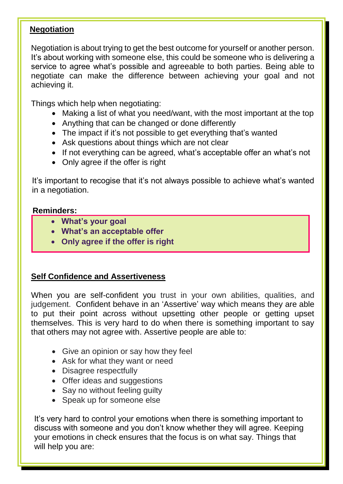#### **Negotiation**

Negotiation is about trying to get the best outcome for yourself or another person. It's about working with someone else, this could be someone who is delivering a service to agree what's possible and agreeable to both parties. Being able to negotiate can make the difference between achieving your goal and not achieving it.

Things which help when negotiating:

- Making a list of what you need/want, with the most important at the top
- Anything that can be changed or done differently
- The impact if it's not possible to get everything that's wanted
- Ask questions about things which are not clear
- If not everything can be agreed, what's acceptable offer an what's not
- Only agree if the offer is right

It's important to recogise that it's not always possible to achieve what's wanted in a negotiation.

#### **Reminders:**

- **What's your goal**
- **What's an acceptable offer**
- **Only agree if the offer is right**

#### **Self Confidence and Assertiveness**

When you are self-confident you trust in your own abilities, qualities, and judgement. Confident behave in an 'Assertive' way which means they are able to put their point across without upsetting other people or getting upset themselves. This is very hard to do when there is something important to say that others may not agree with. Assertive people are able to:

- Give an opinion or say how they feel
- Ask for what they want or need
- Disagree respectfully
- Offer ideas and suggestions
- Say no without feeling guilty
- Speak up for someone else

 It's very hard to control your emotions when there is something important to discuss with someone and you don't know whether they will agree. Keeping your emotions in check ensures that the focus is on what say. Things that will help you are: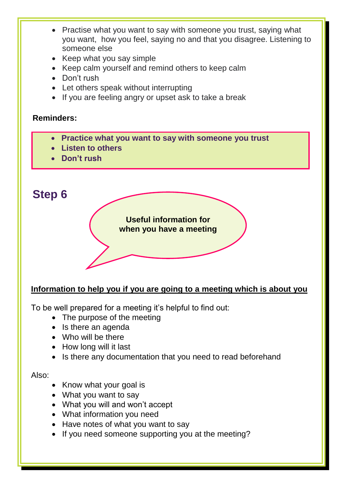- Practise what you want to say with someone you trust, saying what you want, how you feel, saying no and that you disagree. Listening to someone else
- Keep what you say simple
- Keep calm yourself and remind others to keep calm
- Don't rush
- Let others speak without interrupting
- If you are feeling angry or upset ask to take a break

#### **Reminders:**

- **Practice what you want to say with someone you trust**
- **Listen to others**
- **Don't rush**

# **Step 6 Useful information for when you have a meeting**

#### **Information to help you if you are going to a meeting which is about you**

To be well prepared for a meeting it's helpful to find out:

- The purpose of the meeting
- Is there an agenda
- Who will be there
- How long will it last
- Is there any documentation that you need to read beforehand

#### Also:

- Know what your goal is
- What you want to say
- What you will and won't accept
- What information you need
- Have notes of what you want to say
- If you need someone supporting you at the meeting?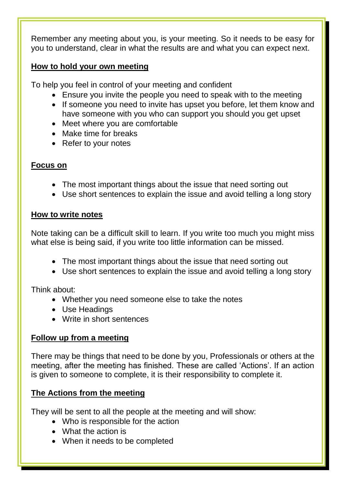Remember any meeting about you, is your meeting. So it needs to be easy for you to understand, clear in what the results are and what you can expect next.

#### **How to hold your own meeting**

To help you feel in control of your meeting and confident

- Ensure you invite the people you need to speak with to the meeting
- If someone you need to invite has upset you before, let them know and have someone with you who can support you should you get upset
- Meet where you are comfortable
- Make time for breaks
- Refer to your notes

#### **Focus on**

- The most important things about the issue that need sorting out
- Use short sentences to explain the issue and avoid telling a long story

#### **How to write notes**

Note taking can be a difficult skill to learn. If you write too much you might miss what else is being said, if you write too little information can be missed.

- The most important things about the issue that need sorting out
- Use short sentences to explain the issue and avoid telling a long story

Think about:

- Whether you need someone else to take the notes
- Use Headings
- Write in short sentences

#### **Follow up from a meeting**

There may be things that need to be done by you, Professionals or others at the meeting, after the meeting has finished. These are called 'Actions'. If an action is given to someone to complete, it is their responsibility to complete it.

#### **The Actions from the meeting**

They will be sent to all the people at the meeting and will show:

- Who is responsible for the action
- What the action is
- When it needs to be completed